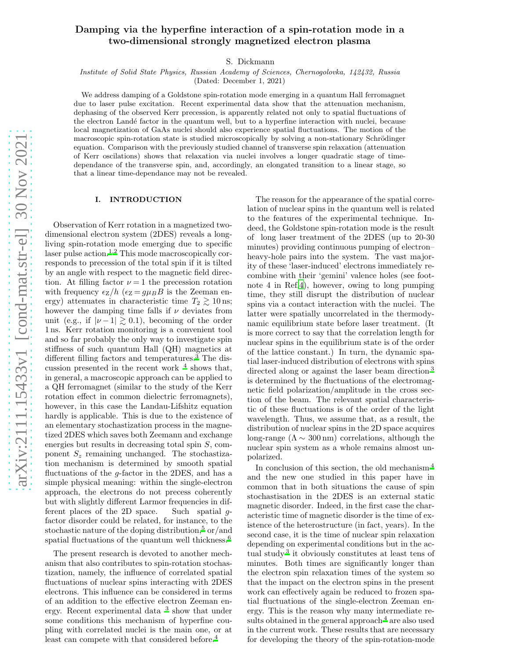# Damping via the hyperfine interaction of a spin-rotation mode in a two-dimensional strongly magnetized electron plasma

S. Dickmann

Institute of Solid State Physics, Russian Academy of Sciences, Chernogolovka, 142432, Russia

(Dated: December 1, 2021)

We address damping of a Goldstone spin-rotation mode emerging in a quantum Hall ferromagnet due to laser pulse excitation. Recent experimental data show that the attenuation mechanism, dephasing of the observed Kerr precession, is apparently related not only to spatial fluctuations of the electron Land´e factor in the quantum well, but to a hyperfine interaction with nuclei, because local magnetization of GaAs nuclei should also experience spatial fluctuations. The motion of the macroscopic spin-rotation state is studied microscopically by solving a non-stationary Schrödinger equation. Comparison with the previously studied channel of transverse spin relaxation (attenuation of Kerr oscilations) shows that relaxation via nuclei involves a longer quadratic stage of timedependance of the transverse spin, and, accordingly, an elongated transition to a linear stage, so that a linear time-dependance may not be revealed.

#### I. INTRODUCTION

Observation of Kerr rotation in a magnetized twodimensional electron system (2DES) reveals a longliving spin-rotation mode emerging due to specific laser pulse action.<sup>[1](#page-5-0)[,2](#page-5-1)</sup> This mode macroscopically corresponds to precession of the total spin if it is tilted by an angle with respect to the magnetic field direction. At filling factor  $\nu = 1$  the precession rotation with frequency  $\epsilon_Z/h$  ( $\epsilon_Z = g\mu_B B$  is the Zeeman energy) attenuates in characteristic time  $T_2 \gtrsim 10$  ns; however the damping time falls if  $\nu$  deviates from unit (e.g., if  $|\nu - 1| \gtrsim 0.1$ ), becoming of the order 1 ns. Kerr rotation monitoring is a convenient tool and so far probably the only way to investigate spin stiffness of such quantum Hall (QH) magnetics at different filling factors and temperatures. $\overline{3}$  $\overline{3}$  $\overline{3}$  The discussion presented in the recent work  $<sup>4</sup>$  $<sup>4</sup>$  $<sup>4</sup>$  shows that,</sup> in general, a macroscopic approach can be applied to a QH ferromagnet (similar to the study of the Kerr rotation effect in common dielectric ferromagnets), however, in this case the Landau-Lifshitz equation hardly is applicable. This is due to the existence of an elementary stochastization process in the magnetized 2DES which saves both Zeemann and exchange energies but results in decreasing total spin S, component  $S_z$  remaining unchanged. The stochastization mechanism is determined by smooth spatial fluctuations of the  $q$ -factor in the 2DES, and has a simple physical meaning: within the single-electron approach, the electrons do not precess coherently but with slightly different Larmor frequencies in different places of the 2D space. Such spatial gfactor disorder could be related, for instance, to the stochastic nature of the doping distribution,<sup>[5](#page-5-4)</sup> or/and spatial fluctuations of the quantum well thickness[.](#page-5-5)<sup>6</sup>

The present research is devoted to another mechanism that also contributes to spin-rotation stochastization, namely, the influence of correlated spatial fluctuations of nuclear spins interacting with 2DES electrons. This influence can be considered in terms of an addition to the effective electron Zeeman energy. Recent experimental data [3](#page-5-2) show that under some conditions this mechanism of hyperfine coupling with correlated nuclei is the main one, or at least can compete with that considered before.<sup>[4](#page-5-3)</sup>

The reason for the appearance of the spatial correlation of nuclear spins in the quantum well is related to the features of the experimental technique. Indeed, the Goldstone spin-rotation mode is the result of long laser treatment of the 2DES (up to 20-30 minutes) providing continuous pumping of electron– heavy-hole pairs into the system. The vast majority of these 'laser-induced' electrons immediately recombine with their 'gemini' valence holes (see footnote 4 in Ref[.4\)](#page-5-3), however, owing to long pumping time, they still disrupt the distribution of nuclear spins via a contact interaction with the nuclei. The latter were spatially uncorrelated in the thermodynamic equilibrium state before laser treatment. (It is more correct to say that the correlation length for nuclear spins in the equilibrium state is of the order of the lattice constant.) In turn, the dynamic spatial laser-induced distribution of electrons with spins directed along or against the laser beam direction<sup>[3](#page-5-2)</sup> is determined by the fluctuations of the electromagnetic field polarization/amplitude in the cross section of the beam. The relevant spatial characteristic of these fluctuations is of the order of the light wavelength. Thus, we assume that, as a result, the distribution of nuclear spins in the 2D space acquires long-range  $(\Lambda \sim 300 \,\mathrm{nm})$  correlations, although the nuclear spin system as a whole remains almost unpolarized.

In conclusion of this section, the old mechanism [4](#page-5-3) and the new one studied in this paper have in common that in both situations the cause of spin stochastisation in the 2DES is an external static magnetic disorder. Indeed, in the first case the characteristic time of magnetic disorder is the time of existence of the heterostructure (in fact, years). In the second case, it is the time of nuclear spin relaxation depending on experimental conditions but in the actual study [3](#page-5-2) it obviously constitutes at least tens of minutes. Both times are significantly longer than the electron spin relaxation times of the system so that the impact on the electron spins in the present work can effectively again be reduced to frozen spatial fluctuations of the single-electron Zeeman energy. This is the reason why many intermediate re-sults obtained in the general approach <sup>[4](#page-5-3)</sup> are also used in the current work. These results that are necessary for developing the theory of the spin-rotation-mode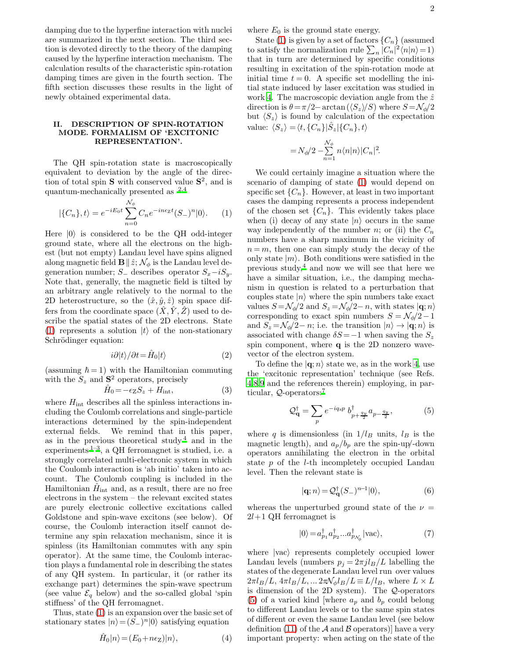damping due to the hyperfine interaction with nuclei are summarized in the next section. The third section is devoted directly to the theory of the damping caused by the hyperfine interaction mechanism. The calculation results of the characteristic spin-rotation damping times are given in the fourth section. The fifth section discusses these results in the light of newly obtained experimental data.

## II. DESCRIPTION OF SPIN-ROTATION MODE. FORMALISM OF 'EXCITONIC REPRESENTATION'.

The QH spin-rotation state is macroscopically equivalent to deviation by the angle of the direction of total spin **S** with conserved value  $S^2$ , and is quantum-mechanically presented as [2](#page-5-1)[,4](#page-5-3)

<span id="page-1-0"></span>
$$
|\{C_n\},t\rangle = e^{-iE_0t} \sum_{n=0}^{\mathcal{N}_{\phi}} C_n e^{-in\epsilon z} (S_-)^n |0\rangle.
$$
 (1)

Here  $|0\rangle$  is considered to be the QH odd-integer ground state, where all the electrons on the highest (but not empty) Landau level have spins aligned along magnetic field  $\mathbf{B} \parallel \hat{z}; \mathcal{N}_{\phi}$  is the Landau level degeneration number;  $S_$  describes operator  $S_x - iS_y$ . Note that, generally, the magnetic field is tilted by an arbitrary angle relatively to the normal to the 2D heterostructure, so the  $(\hat{x}, \hat{y}, \hat{z})$  spin space differs from the coordinate space  $(\hat{X}, \hat{Y}, \hat{Z})$  used to describe the spatial states of the 2D electrons. State [\(1\)](#page-1-0) represents a solution  $|t\rangle$  of the non-stationary Schrödinger equation:

<span id="page-1-2"></span>
$$
i\partial|t\rangle/\partial t = \hat{H}_0|t\rangle\tag{2}
$$

(assuming  $\hbar = 1$ ) with the Hamiltonian commuting with the  $S_z$  and  $S^2$  operators, precisely

<span id="page-1-3"></span>
$$
\hat{H}_0 = -\epsilon_\mathbf{Z} S_z + H_{\text{int}},\tag{3}
$$

where  $H_{\text{int}}$  describes all the spinless interactions including the Coulomb correlations and single-particle interactions determined by the spin-independent external fields. We remind that in this paper, as in the previous theoretical study  $4$  and in the experiments  $1-3$  $1-3$ , a QH ferromagnet is studied, i.e. a strongly correlated multi-electronic system in which the Coulomb interaction is 'ab initio' taken into account. The Coulomb coupling is included in the Hamiltonian  $\hat{H}_{int}$  and, as a result, there are no free electrons in the system – the relevant excited states are purely electronic collective excitations called Goldstone and spin-wave excitons (see below). Of course, the Coulomb interaction itself cannot determine any spin relaxation mechanism, since it is spinless (its Hamiltonian commutes with any spin operator). At the same time, the Coulomb interaction plays a fundamental role in describing the states of any QH system. In particular, it (or rather its exchange part) determines the spin-wave spectrum (see value  $\mathcal{E}_q$  below) and the so-called global 'spin stiffness' of the QH ferromagnet.

Thus, state [\(1\)](#page-1-0) is an expansion over the basic set of stationary states  $|n\rangle = (S_-)^n |0\rangle$  satisfying equation

where  $E_0$  is the ground state energy.

State [\(1\)](#page-1-0) is given by a set of factors  $\{C_n\}$  (assumed to satisfy the normalization rule  $\sum_{n} |C_n|^2 \langle n|n \rangle = 1$ ) that in turn are determined by specific conditions resulting in excitation of the spin-rotation mode at initial time  $t = 0$ . A specific set modelling the initial state induced by laser excitation was studied in work [4.](#page-5-3) The macroscopic deviation angle from the  $\hat{z}$ direction is  $\theta = \pi/2$ –arctan  $(\langle S_z \rangle / S)$  where  $S = \mathcal{N}_{\phi}/2$ but  $\langle S_z \rangle$  is found by calculation of the expectation value:  $\langle S_z \rangle = \langle t, \{C_n\} | \hat{S}_z | \{C_n\}, t \rangle$ 

$$
=N_{\phi}\!/2-\sum_{n=1}^{\mathcal{N}_{\phi}}n\langle n|n\rangle|C_n|^2\!.
$$

We could certainly imagine a situation where the scenario of damping of state [\(1\)](#page-1-0) would depend on specific set  $\{C_n\}$ . However, at least in two important cases the damping represents a process independent of the chosen set  $\{C_n\}$ . This evidently takes place when (i) decay of any state  $|n\rangle$  occurs in the same way independently of the number n; or (ii) the  $C_n$ numbers have a sharp maximum in the vicinity of  $n = m$ , then one can simply study the decay of the only state  $|m\rangle$ . Both conditions were satisfied in the previous study, $4$  and now we will see that here we have a similar situation, i.e., the damping mechanism in question is related to a perturbation that couples state  $|n\rangle$  where the spin numbers take exact values  $S = \mathcal{N}_{\phi}/2$  and  $S_z = \mathcal{N}_{\phi}/2 - n$ , with states  $|\mathbf{q}; n\rangle$ corresponding to exact spin numbers  $S = \mathcal{N}_{\phi}/2 - 1$ and  $S_z = \mathcal{N}_{\phi}/2 - n$ ; i.e. the transition  $|n\rangle \rightarrow |\mathbf{q}; n\rangle$  is associated with change  $\delta S = -1$  when saving the  $S_z$ spin component, where q is the 2D nonzero wavevector of the electron system.

To define the  $|{\bf q}; n\rangle$  state we, as in the work [4](#page-5-3), use the 'excitonic representation' technique (see Refs. [4](#page-5-3)[,8](#page-5-6)[,9](#page-5-7) and the references therein) employing, in particular,  $Q$ -operators:<sup>[7](#page-5-8)</sup>

<span id="page-1-1"></span>
$$
\mathcal{Q}_{\mathbf{q}}^{\dagger} = \sum_{p} e^{-iq_x p} b_{p+\frac{q_y}{2}}^{\dagger} a_{p-\frac{q_y}{2}},\tag{5}
$$

where q is dimensionless (in  $1/l_B$  units,  $l_B$  is the magnetic length), and  $a_p/b_p$  are the spin-up/-down operators annihilating the electron in the orbital state p of the l-th incompletely occupied Landau level. Then the relevant state is

$$
|\mathbf{q};n\rangle = \mathcal{Q}_{\mathbf{q}}^{\dagger}(S_{-})^{n-1}|0\rangle,\tag{6}
$$

whereas the unperturbed ground state of the  $\nu =$  $2l+1$  QH ferromagnet is

$$
|0\rangle = a_{p_1}^{\dagger} a_{p_2}^{\dagger} ... a_{p_{\mathcal{N}_{\phi}}}^{\dagger} | \text{vac} \rangle, \tag{7}
$$

where  $\vert vac \rangle$  represents completely occupied lower Landau levels (numbers  $p_i = 2\pi j l_B/L$  labelling the states of the degenerate Landau level run over values  $2\pi l_B/L$ ,  $4\pi l_B/L$ , ...  $2\pi \mathcal{N}_{\phi} l_B/L \equiv L/l_B$ , where  $L \times L$ is dimension of the 2D system). The Q-operators [\(5\)](#page-1-1) of a varied kind [where  $a_p$  and  $b_p$  could belong to different Landau levels or to the same spin states of different or even the same Landau level (see below definition [\(11\)](#page-2-0) of the  $A$  and  $B$  operators) have a very important property: when acting on the state of the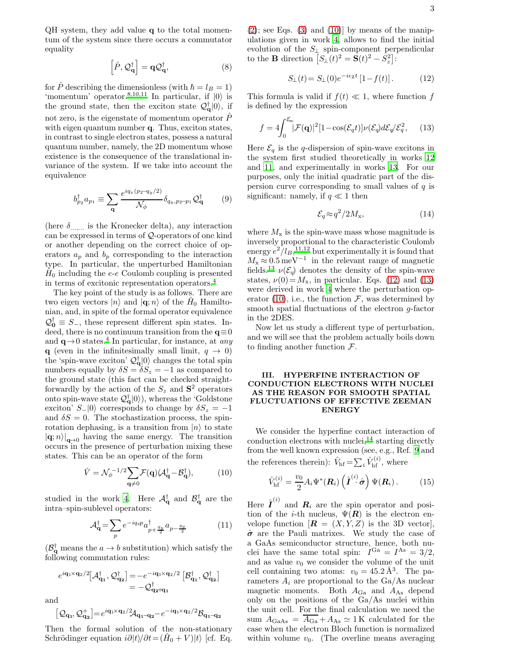QH system, they add value q to the total momentum of the system since there occurs a commutator equality

$$
\left[\hat{P}, \mathcal{Q}_{\mathbf{q}}^{\dagger}\right] = \mathbf{q} \mathcal{Q}_{\mathbf{q}}^{\dagger},\tag{8}
$$

for  $\hat{P}$  describing the dimensionless (with  $\hbar = l_B = 1$ ) 'momentum' operator.<sup>[8](#page-5-6)[,10](#page-5-9)[,11](#page-5-10)</sup> In particular, if  $|0\rangle$  is the ground state, then the exciton state  $\mathcal{Q}_q^{\dagger} |0\rangle$ , if not zero, is the eigenstate of momentum operator  $\hat{P}$ with eigen quantum number q. Thus, exciton states, in contrast to single electron states, possess a natural quantum number, namely, the 2D momentum whose existence is the consequence of the translational invariance of the system. If we take into account the equivalence

$$
b_{p_2}^{\dagger} a_{p_1} \equiv \sum_{\mathbf{q}} \frac{e^{iq_x (p_2 - q_y/2)}}{\mathcal{N}_{\phi}} \delta_{q_y, p_2 - p_1} \mathcal{Q}_{\mathbf{q}}^{\dagger} \tag{9}
$$

(here  $\delta$ <sub>...,,,,</sub> is the Kronecker delta), any interaction can be expressed in terms of Q-operators of one kind or another depending on the correct choice of operators  $a_p$  and  $b_p$  corresponding to the interaction type. In particular, the unperturbed Hamiltonian  $\hat{H}_0$  including the e-e Coulomb coupling is presented in terms of excitonic representation operators.[4](#page-5-3)

The key point of the study is as follows. There are two eigen vectors  $|n\rangle$  and  $|\mathbf{q};n\rangle$  of the  $\hat{H}_0$  Hamiltonian, and, in spite of the formal operator equivalence  $\mathcal{Q}_0^{\dagger} \equiv S_{-}$ , these represent different spin states. Indeed, there is no continuum transition from the  $q \equiv 0$ and  $\mathbf{q} \rightarrow 0$  states.<sup>[4](#page-5-3)</sup> In particular, for instance, at any q (even in the infinitesimally small limit,  $q \rightarrow 0$ ) the 'spin-wave exciton'  $\mathcal{Q}_{q}^{\dagger}|0\rangle$  changes the total spin numbers equally by  $\delta S = \delta S_z = -1$  as compared to the ground state (this fact can be checked straightforwardly by the action of the  $S_z$  and  $S^2$  operators onto spin-wave state  $\mathcal{Q}_{q}^{\dagger}|0\rangle$ , whereas the 'Goldstone exciton'  $S_{-}|0\rangle$  corresponds to change by  $\delta S_z = -1$ and  $\delta S = 0$ . The stochastization process, the spinrotation dephasing, is a transition from  $|n\rangle$  to state  $|\mathbf{q}; n\rangle|_{\mathbf{q}\to 0}$  having the same energy. The transition occurs in the presence of perturbation mixing these states. This can be an operator of the form

<span id="page-2-1"></span>
$$
\hat{V} = \mathcal{N}_{\phi}^{-1/2} \sum_{\mathbf{q} \neq 0} \mathcal{F}(\mathbf{q}) (\mathcal{A}_{\mathbf{q}}^{\dagger} - \mathcal{B}_{\mathbf{q}}^{\dagger}), \tag{10}
$$

studied in the work [4.](#page-5-3) Here  $\mathcal{A}_{q}^{\dagger}$  and  $\mathcal{B}_{q}^{\dagger}$  are the intra–spin-sublevel operators:

<span id="page-2-0"></span>
$$
\mathcal{A}_{\mathbf{q}}^{\dagger} = \sum_{p} e^{-iq_{x}p} a_{p+\frac{q_{y}}{2}}^{\dagger} a_{p-\frac{q_{y}}{2}} \tag{11}
$$

 $(\mathcal{B}_{q}^{\dagger})$  means the  $a \to b$  substitution) which satisfy the following commutation rules:

$$
\begin{array}{llll} e^{i\mathbf{q}_1\!\times\mathbf{q}_2/2}[\mathcal A_{\mathbf{q_1}}^\dagger,\mathcal Q_{\mathbf{q_2}}^\dagger] = & -e^{-i\mathbf{q}_1\!\times\mathbf{q}_2/2}\left[\mathcal B_{\mathbf{q_1}}^\dagger,\mathcal Q_{\mathbf{q_2}}^\dagger\right] \\ & = & -\mathcal Q_{\mathbf{q_2}\!\!+\!\mathbf{q_1}}^\dagger \end{array}
$$

and

$$
[\mathcal{Q}_{\mathbf{q}_1},\mathcal{Q}_{\mathbf{q}_2}^+]\hspace{-0.05cm}=\hspace{-0.05cm}e^{i\mathbf{q}_1\hspace{-0.05cm}\times\hspace{-0.05cm}\mathbf{q}_2/2}\hspace{-0.05cm}\mathcal{A}_{\mathbf{q}_1-\mathbf{q}_2}\hspace{-0.05cm}-e^{-i\mathbf{q}_1\hspace{-0.05cm}\times\hspace{-0.05cm}\mathbf{q}_2/2}\hspace{-0.05cm}\mathcal{B}_{\mathbf{q}_1-\mathbf{q}_2}
$$

Then the formal solution of the non-stationary Schrödinger equation  $i\partial |t\rangle/\partial t = (\hat{H}_0 + V)|t\rangle$  [cf. Eq.

 $(2)$ ; see Eqs.  $(3)$  and  $(10)$  by means of the manipulations given in work [4,](#page-5-3) allows to find the initial evolution of the  $S_{\perp}$  spin-component perpendicular to the **B** direction  $\overline{S_1}(t)^2 = \overline{S}(t)^2 - \overline{S}_z^2$ :

<span id="page-2-2"></span>
$$
S_{\perp}(t) = S_{\perp}(0)e^{-i\epsilon_{Z}t} [1 - f(t)]. \tag{12}
$$

This formula is valid if  $f(t) \ll 1$ , where function f is defined by the expression

<span id="page-2-3"></span>
$$
f = 4 \int_0^{\mathcal{E}_{\infty}} |\mathcal{F}(\mathbf{q})|^2 [1 - \cos(\mathcal{E}_q t)] \nu(\mathcal{E}_q) d\mathcal{E}_q / \mathcal{E}_q^2, \qquad (13)
$$

Here  $\mathcal{E}_q$  is the q-dispersion of spin-wave excitons in the system first studied theoretically in works [12](#page-5-11) and [11,](#page-5-10) and experimentally in works [13](#page-5-12). For our purposes, only the initial quadratic part of the dispersion curve corresponding to small values of  $q$  is significant: namely, if  $q \ll 1$  then

$$
\mathcal{E}_q \approx q^2 / 2M_{\rm x},\tag{14}
$$

where  $M_{\rm x}$  is the spin-wave mass whose magnitude is inversely proportional to the characteristic Coulomb energy  $e^2/l_B$ ,<sup>[11](#page-5-10)[,12](#page-5-11)</sup> but experimentally it is found that  $M_{\rm x} \approx 0.5 \,\text{meV}^{-1}$  in the relevant range of magnetic fields.<sup>[13](#page-5-12)</sup>  $\nu(\mathcal{E}_q)$  denotes the density of the spin-wave states,  $\nu(0) = M_{\rm x}$ , in particular. Eqs. [\(12\)](#page-2-2) and [\(13\)](#page-2-3) were derived in work [4](#page-5-3) where the perturbation op-erator [\(10\)](#page-2-1), i.e., the function  $\mathcal{F}$ , was determined by smooth spatial fluctuations of the electron g-factor in the 2DES.

Now let us study a different type of perturbation, and we will see that the problem actually boils down to finding another function  $\mathcal{F}$ .

## III. HYPERFINE INTERACTION OF CONDUCTION ELECTRONS WITH NUCLEI AS THE REASON FOR SMOOTH SPATIAL FLUCTUATIONS OF EFFECTIVE ZEEMAN ENERGY

We consider the hyperfine contact interaction of conduction electrons with nuclei,<sup>[14](#page-5-13)</sup> starting directly from the well known expression (see, e.g., Ref. [9](#page-5-7) and the references therein):  $\hat{V}_{\text{hf}} = \sum_{i} \hat{V}_{\text{hf}}^{(i)}$ , where

<span id="page-2-4"></span>
$$
\hat{V}_{\text{hf}}^{(i)} = \frac{v_0}{2} A_i \Psi^*(\boldsymbol{R}_i) \left(\hat{\boldsymbol{I}}^{(i)} \hat{\boldsymbol{\sigma}}\right) \Psi(\boldsymbol{R}_i). \tag{15}
$$

Here  $\hat{\boldsymbol{I}}^{(i)}$  and  $\boldsymbol{R}_i$  are the spin operator and position of the *i*-th nucleus,  $\Psi(R)$  is the electron envelope function  $[\mathbf{R} = (X, Y, Z)]$  is the 3D vector],  $\hat{\sigma}$  are the Pauli matrixes. We study the case of a GaAs semiconductor structure, hence, both nuclei have the same total spin:  $I^{Ga} = I^{As} = 3/2$ , and as value  $v_0$  we consider the volume of the unit cell containing two atoms:  $v_0 = 45.2 \text{ Å}^3$ . The parameters  $A_i$  are proportional to the Ga/As nuclear magnetic moments. Both  $A_{Ga}$  and  $A_{As}$  depend only on the positions of the Ga/As nuclei within the unit cell. For the final calculation we need the sum  $A_{\text{GaAs}} = \overline{A_{\text{Ga}}} + A_{\text{As}} \simeq 1 \,\text{K}$  calculated for the case when the electron Bloch function is normalized within volume  $v_0$ . (The overline means averaging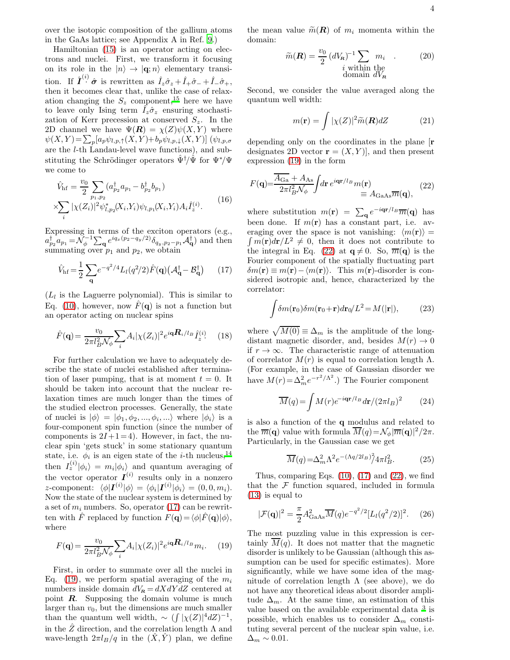over the isotopic composition of the gallium atoms in the GaAs lattice; see Appendix A in Ref. [9.](#page-5-7))

Hamiltonian [\(15\)](#page-2-4) is an operator acting on electrons and nuclei. First, we transform it focusing on its role in the  $|n\rangle \rightarrow |{\bf q}; n\rangle$  elementary transition. If  $\hat{\mathbf{I}}^{(i)}$   $\hat{\boldsymbol{\sigma}}$  is rewritten as  $\hat{I}_z\hat{\sigma}_z + \hat{I}_+\hat{\sigma}_- + \hat{I}_-\hat{\sigma}_+,$ then it becomes clear that, unlike the case of relaxation changing the  $S_z$  component,<sup>[15](#page-5-14)</sup> here we have to leave only Ising term  $\hat{I}_z \hat{\sigma}_z$  ensuring stochastization of Kerr precession at conserved  $S_z$ . In the 2D channel we have  $\Psi(R) = \chi(Z)\psi(X, Y)$  where  $\psi(X,Y) = \sum_{p} [a_p \psi_{l,p,\uparrow}(X,Y) + b_p \psi_{l,p,\downarrow}(X,Y)]$  ( $\psi_{l,p,\sigma}$ are the l-th Landau-level wave functions), and substituting the Schrödinger operators  $\hat{\Psi}^{\dagger}/\hat{\Psi}$  for  $\Psi^{\ast}/\Psi$ we come to

$$
\hat{V}_{\rm hf} = \frac{v_0}{2} \sum_{p_1, p_2} (a_{p_2}^{\dagger} a_{p_1} - b_{p_2}^{\dagger} b_{p_1})
$$
\n
$$
\times \sum_i |\chi(Z_i)|^2 \psi_{l, p_2}^*(X_i, Y_i) \psi_{l, p_1}(X_i, Y_i) A_i \hat{I}_z^{(i)}.
$$
\n(16)

Expressing in terms of the exciton operators (e.g.,  $a_{p_2}^{\dagger} a_{p_1} = \widetilde{\mathcal{N}}_{\phi}^{-1} \sum_{\mathbf{q}} e^{iq_x(p_2-q_y/2)} \delta_{q_y, p_2-p_1} A_{\mathbf{q}}^{\dagger}$  and then summating over  $p_1$  and  $p_2$ , we obtain

<span id="page-3-0"></span>
$$
\hat{V}_{\text{hf}} = \frac{1}{2} \sum_{\mathbf{q}} e^{-q^2/4} L_l(q^2/2) \hat{F}(\mathbf{q}) \left( \mathcal{A}_{\mathbf{q}}^\dagger - \mathcal{B}_{\mathbf{q}}^\dagger \right) \tag{17}
$$

 $(L_l)$  is the Laguerre polynomial). This is similar to Eq. [\(10\)](#page-2-1), however, now  $\hat{F}(\mathbf{q})$  is not a function but an operator acting on nuclear spins

$$
\hat{F}(\mathbf{q}) = \frac{v_0}{2\pi l_B^2 N_\phi} \sum_i A_i |\chi(Z_i)|^2 e^{i\mathbf{q} \cdot \mathbf{R}_i / l_B} \hat{I}_z^{(i)} \qquad (18)
$$

For further calculation we have to adequately describe the state of nuclei established after termination of laser pumping, that is at moment  $t = 0$ . It should be taken into account that the nuclear relaxation times are much longer than the times of the studied electron processes. Generally, the state of nuclei is  $|\phi\rangle = |\phi_1, \phi_2, ..., \phi_i, ...\rangle$  where  $|\phi_i\rangle$  is a four-component spin function (since the number of components is  $2I+1=4$ ). However, in fact, the nuclear spin 'gets stuck' in some stationary quantum state, i.e.  $\phi_i$  is an eigen state of the *i*-th nucleus,<sup>[14](#page-5-13)</sup> then  $I_z^{(i)}|\phi_i\rangle = m_i|\phi_i\rangle$  and quantum averaging of the vector operator  $I^{(i)}$  results only in a nonzero z-component:  $\langle \phi | I^{(i)} | \phi \rangle = \langle \phi_i | I^{(i)} | \phi_i \rangle = (0, 0, m_i).$ Now the state of the nuclear system is determined by a set of  $m_i$  numbers. So, operator [\(17\)](#page-3-0) can be rewritten with  $\hat{F}$  replaced by function  $F(\mathbf{q}) = \langle \phi | \hat{F}(\mathbf{q}) | \phi \rangle$ , where

<span id="page-3-1"></span>
$$
F(\mathbf{q}) = \frac{v_0}{2\pi l_B^2 N_\phi} \sum_i A_i |\chi(Z_i)|^2 e^{i\mathbf{q} \cdot \mathbf{R}_i / l_B} m_i. \tag{19}
$$

First, in order to summate over all the nuclei in Eq. [\(19\)](#page-3-1), we perform spatial averaging of the  $m_i$ numbers inside domain  $dV_R = dXdY dZ$  centered at point  $\mathbf{R}$ . Supposing the domain volume is much larger than  $v_0$ , but the dimensions are much smaller than the quantum well width,  $\sim (\int |\chi(Z)|^4 dZ)^{-1}$ , in the  $\hat{Z}$  direction, and the correlation length  $\Lambda$  and wave-length  $2\pi l_B/q$  in the  $(X, Y)$  plan, we define the mean value  $\widetilde{m}(\mathbf{R})$  of  $m_i$  momenta within the domain:

$$
\widetilde{m}(\mathbf{R}) = \frac{v_0}{2} (dV_{\mathbf{R}})^{-1} \sum_{\substack{i \text{ within the} \\ \text{domain } dV_{\mathbf{R}}}} m_i \quad . \tag{20}
$$

Second, we consider the value averaged along the quantum well width:

$$
m(\mathbf{r}) = \int |\chi(Z)|^2 \widetilde{m}(\mathbf{R}) dZ \qquad (21)
$$

depending only on the coordinates in the plane [r designates 2D vector  $\mathbf{r} = (X, Y)$ , and then present expression [\(19\)](#page-3-1) in the form

<span id="page-3-2"></span>
$$
F(\mathbf{q}) = \frac{\overline{A_{\text{Ga}}} + A_{\text{As}}}{2\pi l_B^2 \mathcal{N}_{\phi}} \int d\mathbf{r} \, e^{i\mathbf{q}\mathbf{r}/l_B} m(\mathbf{r}) \equiv A_{\text{GaAs}} \overline{m}(\mathbf{q}), \tag{22}
$$

where substitution  $m(\mathbf{r}) = \sum_{\mathbf{q}} e^{-i\mathbf{q}\mathbf{r}/l_B} \overline{m}(\mathbf{q})$  has been done. If  $m(\mathbf{r})$  has a constant part, i.e. av- $\int m(\mathbf{r})d\mathbf{r}/L^2 \neq 0$ , then it does not contribute to eraging over the space is not vanishing:  $\langle m(\mathbf{r}) \rangle =$ the integral in Eq. [\(22\)](#page-3-2) at  $q \neq 0$ . So,  $\overline{m}(q)$  is the Fourier component of the spatially fluctuating part  $\delta m(\mathbf{r}) \equiv m(\mathbf{r}) - \langle m(\mathbf{r}) \rangle$ . This m(r)-disorder is considered isotropic and, hence, characterized by the correlator:

$$
\int \delta m(\mathbf{r}_0) \delta m(\mathbf{r}_0 + \mathbf{r}) d\mathbf{r}_0 / L^2 = M(|\mathbf{r}|), \tag{23}
$$

where  $\sqrt{M(0)} \equiv \Delta_m$  is the amplitude of the longdistant magnetic disorder, and, besides  $M(r) \rightarrow 0$ if  $r \to \infty$ . The characteristic range of attenuation of correlator  $M(r)$  is equal to correlation length  $\Lambda$ . (For example, in the case of Gaussian disorder we have  $M(r) = \Delta_m^2 e^{-r^2/\Lambda^2}$ .) The Fourier component

$$
\overline{M}(q) = \int M(r)e^{-i\mathbf{q}\mathbf{r}/l_B}d\mathbf{r}/(2\pi l_B)^2 \qquad (24)
$$

is also a function of the q modulus and related to the  $\overline{m}(\mathbf{q})$  value with formula  $\overline{M}(q) = \mathcal{N}_{\phi} |\overline{m}(\mathbf{q})|^2 / 2\pi$ . Particularly, in the Gaussian case we get

<span id="page-3-3"></span>
$$
\overline{M}(q) = \Delta_m^2 \Lambda^2 e^{-(\Lambda q/2l_B)^2} \mathcal{A} \pi l_B^2. \tag{25}
$$

Thus, comparing Eqs.  $(10)$ ,  $(17)$  and  $(22)$ , we find that the  $\mathcal F$  function squared, included in formula [\(13\)](#page-2-3) is equal to

<span id="page-3-4"></span>
$$
|\mathcal{F}(\mathbf{q})|^2 = \frac{\pi}{2} A_{\text{GaAs}}^2 \overline{M}(q) e^{-q^2/2} [L_l(q^2/2)]^2.
$$
 (26)

The most puzzling value in this expression is certainly  $M(q)$ . It does not matter that the magnetic disorder is unlikely to be Gaussian (although this assumption can be used for specific estimates). More significantly, while we have some idea of the magnitude of correlation length  $\Lambda$  (see above), we do not have any theoretical ideas about disorder amplitude  $\Delta_m$ . At the same time, an estimation of this value based on the available experimental data  $3$  is possible, which enables us to consider  $\Delta_m$  constituting several percent of the nuclear spin value, i.e.  $\Delta_m \sim 0.01$ .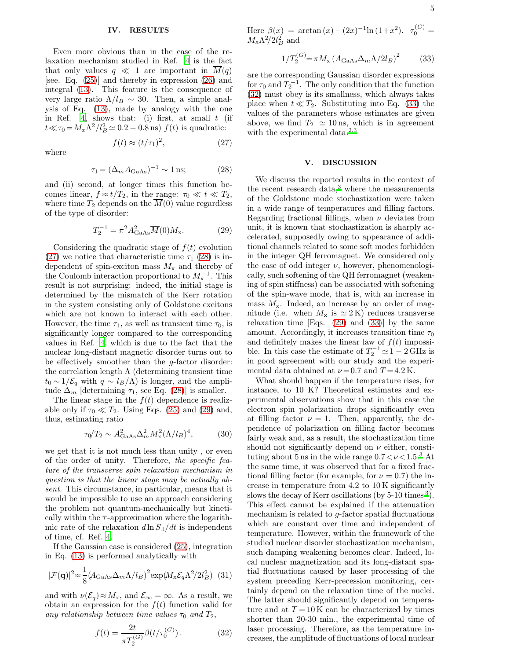#### IV. RESULTS

Even more obvious than in the case of the relaxation mechanism studied in Ref. [4](#page-5-3) is the fact that only values  $q \ll 1$  are important in  $\overline{M}(q)$ [see. Eq. [\(25\)](#page-3-3)] and thereby in expression [\(26\)](#page-3-4) and integral [\(13\)](#page-2-3). This feature is the consequence of very large ratio  $\Lambda/l_B \sim 30$ . Then, a simple analysis of Eq. [\(13\)](#page-2-3), made by analogy with the one in Ref. [4](#page-5-3), shows that: (i) first, at small  $t$  (if  $t \ll \tau_0 = M_x \Lambda^2 / l_B^2 \simeq 0.2 - 0.8 \,\text{ns}$  f(t) is quadratic:

<span id="page-4-0"></span> $f(t) \approx (t/\tau_1)^2$ 

where

<span id="page-4-1"></span>
$$
\tau_1 = (\Delta_m A_{\text{GaAs}})^{-1} \sim 1 \,\text{ns};\tag{28}
$$

 $(27)$ 

and (ii) second, at longer times this function becomes linear,  $f \approx t/T_2$ , in the range:  $\tau_0 \ll t \ll T_2$ , where time  $T_2$  depends on the  $\overline{M}(0)$  value regardless of the type of disorder:

<span id="page-4-2"></span>
$$
T_2^{-1} = \pi^2 A_{\text{GaAs}}^2 \overline{M}(0) M_{\mathbf{x}}.\tag{29}
$$

Considering the quadratic stage of  $f(t)$  evolution [\(27\)](#page-4-0) we notice that characteristic time  $\tau_1$  [\(28\)](#page-4-1) is independent of spin-exciton mass  $M_x$  and thereby of the Coulomb interaction proportional to  $M_{\rm x}^{-1}$ . This result is not surprising: indeed, the initial stage is determined by the mismatch of the Kerr rotation in the system consisting only of Goldstone excitons which are not known to interact with each other. However, the time  $\tau_1$ , as well as transient time  $\tau_0$ , is significantly longer compared to the corresponding values in Ref. [4,](#page-5-3) which is due to the fact that the nuclear long-distant magnetic disorder turns out to be effectively smoother than the  $q$ -factor disorder: the correlation length  $\Lambda$  (determining transient time  $t_0 \sim 1/\mathcal{E}_q$  with  $q \sim l_B/\Lambda$ ) is longer, and the amplitude  $\Delta_m$  [determining  $\tau_1$ , see Eq. [\(28\)](#page-4-1)] is smaller.

The linear stage in the  $f(t)$  dependence is realizable only if  $\tau_0 \ll T_2$ . Using Eqs. [\(25\)](#page-3-3) and [\(29\)](#page-4-2) and, thus, estimating ratio

$$
\tau_0/T_2 \sim A_{\text{GaAs}}^2 \Delta_m^2 M_\text{x}^2 (\Lambda/l_B)^4, \tag{30}
$$

we get that it is not much less than unity , or even of the order of unity. Therefore, the specific feature of the transverse spin relaxation mechanism in question is that the linear stage may be actually absent. This circumstance, in particular, means that it would be impossible to use an approach considering the problem not quantum-mechanically but kinetically within the  $\tau$ -approximation where the logarithmic rate of the relaxation  $d \ln S_{\perp}/dt$  is independent of time, cf. Ref. [4](#page-5-3).

If the Gaussian case is considered [\(25\)](#page-3-3), integration in Eq. [\(13\)](#page-2-3) is performed analytically with

$$
|\mathcal{F}(\mathbf{q})|^2 \approx \frac{1}{8} (A_{\text{GaAs}} \Delta_m \Lambda / l_B)^2 \exp(M_x \mathcal{E}_q \Lambda^2 / 2l_B^2) \tag{31}
$$

and with  $\nu(\mathcal{E}_q) \approx M_{\mathbf{x}}$ , and  $\mathcal{E}_{\infty} = \infty$ . As a result, we obtain an expression for the  $f(t)$  function valid for any relationship between time values  $\tau_0$  and  $T_2$ ,

<span id="page-4-3"></span>
$$
f(t) = \frac{2t}{\pi T_2^{(G)}} \beta(t/\tau_0^{(G)}).
$$
 (32)

Here  $\beta(x) = \arctan(x) - (2x)^{-1} \ln(1+x^2)$ .  $\tau_0^{(G)} =$  $M_{\rm x} \Lambda^2/2l_B^2$  and

<span id="page-4-4"></span>
$$
1/T_2^{(G)} = \pi M_x \left( A_{\text{GaAs}} \Delta_m \Lambda / 2l_B \right)^2 \tag{33}
$$

are the corresponding Gaussian disorder expressions for  $\tau_0$  and  $T_2^{-1}$ . The only condition that the function [\(32\)](#page-4-3) must obey is its smallness, which always takes place when  $t \ll T_2$ . Substituting into Eq. [\(33\)](#page-4-4) the values of the parameters whose estimates are given above, we find  $T_2 \simeq 10 \,\text{ns}$ , which is in agreement with the experimental data[.](#page-5-1) $2,3$  $2,3$ 

#### V. DISCUSSION

We discuss the reported results in the context of the recent research data, $3$  where the measurements of the Goldstone mode stochastization were taken in a wide range of temperatures and filling factors. Regarding fractional fillings, when  $\nu$  deviates from unit, it is known that stochastization is sharply accelerated, supposedly owing to appearance of additional channels related to some soft modes forbidden in the integer QH ferromagnet. We considered only the case of odd integer  $\nu$ , however, phenomenologically, such softening of the QH ferromagnet (weakening of spin stiffness) can be associated with softening of the spin-wave mode, that is, with an increase in mass  $M_x$ . Indeed, an increase by an order of magnitude (i.e. when  $M_x$  is  $\simeq 2 \,\mathrm{K}$ ) reduces transverse relaxation time  $[Eqs. (29)$  $[Eqs. (29)$  and  $(33)]$  by the same amount. Accordingly, it increases transition time  $\tau_0$ and definitely makes the linear law of  $f(t)$  impossible. In this case the estimate of  $T_2^{-1} \simeq 1 - 2 \text{ GHz}$  is in good agreement with our study and the experimental data obtained at  $\nu = 0.7$  and  $T = 4.2$  K.

What should happen if the temperature rises, for instance, to 10 K? Theoretical estimates and experimental observations show that in this case the electron spin polarization drops significantly even at filling factor  $\nu = 1$ . Then, apparently, the dependence of polarization on filling factor becomes fairly weak and, as a result, the stochastization time should not significantly depend on  $\nu$  either, constituting about 5 ns in the wide range  $0.7 < \nu < 1.5$ <sup>[3](#page-5-2)</sup> At the same time, it was observed that for a fixed fractional filling factor (for example, for  $\nu = 0.7$ ) the increase in temperature from 4.2 to 10 K significantly slows the decay of Kerr oscillations (by  $5\n-10$  times  $3$ ). This effect cannot be explained if the attenuation mechanism is related to g-factor spatial fluctuations which are constant over time and independent of temperature. However, within the framework of the studied nuclear disorder stochastization mechanism, such damping weakening becomes clear. Indeed, local nuclear magnetization and its long-distant spatial fluctuations caused by laser processing of the system preceding Kerr-precession monitoring, certainly depend on the relaxation time of the nuclei. The latter should significantly depend on temperature and at  $T = 10$  K can be characterized by times shorter than 20-30 min., the experimental time of laser processing. Therefore, as the temperature increases, the amplitude of fluctuations of local nuclear